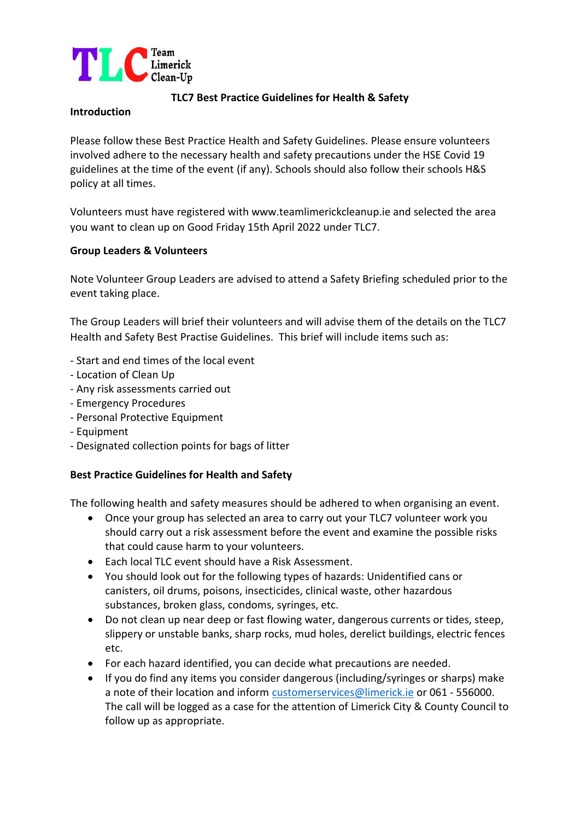

## **TLC7 Best Practice Guidelines for Health & Safety**

### **Introduction**

Please follow these Best Practice Health and Safety Guidelines. Please ensure volunteers involved adhere to the necessary health and safety precautions under the HSE Covid 19 guidelines at the time of the event (if any). Schools should also follow their schools H&S policy at all times.

Volunteers must have registered with www.teamlimerickcleanup.ie and selected the area you want to clean up on Good Friday 15th April 2022 under TLC7.

## **Group Leaders & Volunteers**

Note Volunteer Group Leaders are advised to attend a Safety Briefing scheduled prior to the event taking place.

The Group Leaders will brief their volunteers and will advise them of the details on the TLC7 Health and Safety Best Practise Guidelines. This brief will include items such as:

- Start and end times of the local event
- Location of Clean Up
- Any risk assessments carried out
- Emergency Procedures
- Personal Protective Equipment
- Equipment
- Designated collection points for bags of litter

## **Best Practice Guidelines for Health and Safety**

The following health and safety measures should be adhered to when organising an event.

- Once your group has selected an area to carry out your TLC7 volunteer work you should carry out a risk assessment before the event and examine the possible risks that could cause harm to your volunteers.
- Each local TLC event should have a Risk Assessment.
- You should look out for the following types of hazards: Unidentified cans or canisters, oil drums, poisons, insecticides, clinical waste, other hazardous substances, broken glass, condoms, syringes, etc.
- Do not clean up near deep or fast flowing water, dangerous currents or tides, steep, slippery or unstable banks, sharp rocks, mud holes, derelict buildings, electric fences etc.
- For each hazard identified, you can decide what precautions are needed.
- If you do find any items you consider dangerous (including/syringes or sharps) make a note of their location and inform [customerservices@limerick.ie](mailto:customerservices@limerick.ie) or 061 - 556000. The call will be logged as a case for the attention of Limerick City & County Council to follow up as appropriate.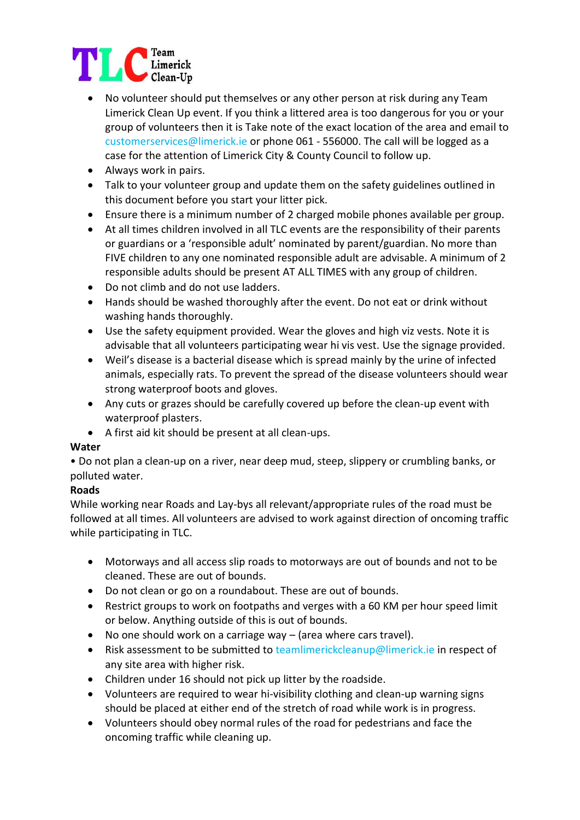

- No volunteer should put themselves or any other person at risk during any Team Limerick Clean Up event. If you think a littered area is too dangerous for you or your group of volunteers then it is Take note of the exact location of the area and email to customerservices@limerick.ie or phone 061 - 556000. The call will be logged as a case for the attention of Limerick City & County Council to follow up.
- Always work in pairs.
- Talk to your volunteer group and update them on the safety guidelines outlined in this document before you start your litter pick.
- Ensure there is a minimum number of 2 charged mobile phones available per group.
- At all times children involved in all TLC events are the responsibility of their parents or guardians or a 'responsible adult' nominated by parent/guardian. No more than FIVE children to any one nominated responsible adult are advisable. A minimum of 2 responsible adults should be present AT ALL TIMES with any group of children.
- Do not climb and do not use ladders.
- Hands should be washed thoroughly after the event. Do not eat or drink without washing hands thoroughly.
- Use the safety equipment provided. Wear the gloves and high viz vests. Note it is advisable that all volunteers participating wear hi vis vest. Use the signage provided.
- Weil's disease is a bacterial disease which is spread mainly by the urine of infected animals, especially rats. To prevent the spread of the disease volunteers should wear strong waterproof boots and gloves.
- Any cuts or grazes should be carefully covered up before the clean-up event with waterproof plasters.
- A first aid kit should be present at all clean-ups.

## **Water**

• Do not plan a clean-up on a river, near deep mud, steep, slippery or crumbling banks, or polluted water.

# **Roads**

While working near Roads and Lay-bys all relevant/appropriate rules of the road must be followed at all times. All volunteers are advised to work against direction of oncoming traffic while participating in TLC.

- Motorways and all access slip roads to motorways are out of bounds and not to be cleaned. These are out of bounds.
- Do not clean or go on a roundabout. These are out of bounds.
- Restrict groups to work on footpaths and verges with a 60 KM per hour speed limit or below. Anything outside of this is out of bounds.
- No one should work on a carriage way (area where cars travel).
- Risk assessment to be submitted to teamlimerickcleanup@limerick.ie in respect of any site area with higher risk.
- Children under 16 should not pick up litter by the roadside.
- Volunteers are required to wear hi-visibility clothing and clean-up warning signs should be placed at either end of the stretch of road while work is in progress.
- Volunteers should obey normal rules of the road for pedestrians and face the oncoming traffic while cleaning up.